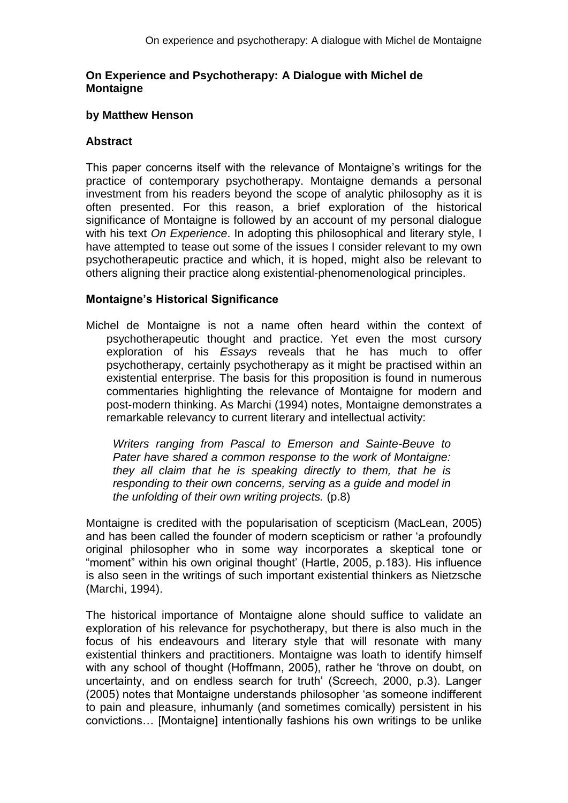### **On Experience and Psychotherapy: A Dialogue with Michel de Montaigne**

#### **by Matthew Henson**

### **Abstract**

This paper concerns itself with the relevance of Montaigne's writings for the practice of contemporary psychotherapy. Montaigne demands a personal investment from his readers beyond the scope of analytic philosophy as it is often presented. For this reason, a brief exploration of the historical significance of Montaigne is followed by an account of my personal dialogue with his text *On Experience*. In adopting this philosophical and literary style, I have attempted to tease out some of the issues I consider relevant to my own psychotherapeutic practice and which, it is hoped, might also be relevant to others aligning their practice along existential-phenomenological principles.

#### **Montaigne's Historical Significance**

Michel de Montaigne is not a name often heard within the context of psychotherapeutic thought and practice. Yet even the most cursory exploration of his *Essays* reveals that he has much to offer psychotherapy, certainly psychotherapy as it might be practised within an existential enterprise. The basis for this proposition is found in numerous commentaries highlighting the relevance of Montaigne for modern and post-modern thinking. As Marchi (1994) notes, Montaigne demonstrates a remarkable relevancy to current literary and intellectual activity:

*Writers ranging from Pascal to Emerson and Sainte-Beuve to Pater have shared a common response to the work of Montaigne: they all claim that he is speaking directly to them, that he is responding to their own concerns, serving as a guide and model in the unfolding of their own writing projects.* (p.8)

Montaigne is credited with the popularisation of scepticism (MacLean, 2005) and has been called the founder of modern scepticism or rather 'a profoundly original philosopher who in some way incorporates a skeptical tone or "moment" within his own original thought' (Hartle, 2005, p.183). His influence is also seen in the writings of such important existential thinkers as Nietzsche (Marchi, 1994).

The historical importance of Montaigne alone should suffice to validate an exploration of his relevance for psychotherapy, but there is also much in the focus of his endeavours and literary style that will resonate with many existential thinkers and practitioners. Montaigne was loath to identify himself with any school of thought (Hoffmann, 2005), rather he 'throve on doubt, on uncertainty, and on endless search for truth' (Screech, 2000, p.3). Langer (2005) notes that Montaigne understands philosopher 'as someone indifferent to pain and pleasure, inhumanly (and sometimes comically) persistent in his convictions… [Montaigne] intentionally fashions his own writings to be unlike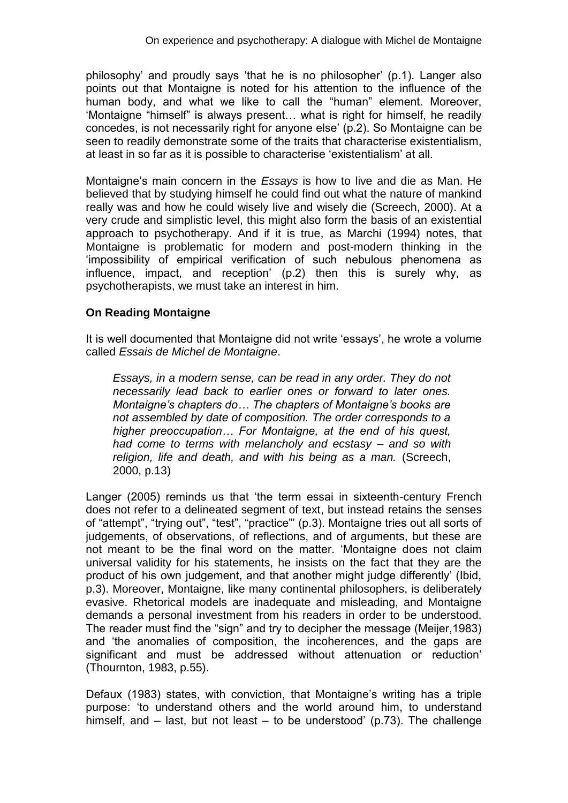philosophy' and proudly says 'that he is no philosopher' (p.1). Langer also points out that Montaigne is noted for his attention to the influence of the human body, and what we like to call the "human" element. Moreover, 'Montaigne "himself" is always present… what is right for himself, he readily concedes, is not necessarily right for anyone else' (p.2). So Montaigne can be seen to readily demonstrate some of the traits that characterise existentialism, at least in so far as it is possible to characterise 'existentialism' at all.

Montaigne's main concern in the *Essays* is how to live and die as Man. He believed that by studying himself he could find out what the nature of mankind really was and how he could wisely live and wisely die (Screech, 2000). At a very crude and simplistic level, this might also form the basis of an existential approach to psychotherapy. And if it is true, as Marchi (1994) notes, that Montaigne is problematic for modern and post-modern thinking in the 'impossibility of empirical verification of such nebulous phenomena as influence, impact, and reception' (p.2) then this is surely why, as psychotherapists, we must take an interest in him.

# **On Reading Montaigne**

It is well documented that Montaigne did not write 'essays', he wrote a volume called *Essais de Michel de Montaigne*.

*Essays, in a modern sense, can be read in any order. They do not necessarily lead back to earlier ones or forward to later ones. Montaigne's chapters do… The chapters of Montaigne's books are not assembled by date of composition. The order corresponds to a higher preoccupation… For Montaigne, at the end of his quest, had come to terms with melancholy and ecstasy – and so with religion, life and death, and with his being as a man.* (Screech, 2000, p.13)

Langer (2005) reminds us that 'the term essai in sixteenth-century French does not refer to a delineated segment of text, but instead retains the senses of "attempt", "trying out", "test", "practice"' (p.3). Montaigne tries out all sorts of judgements, of observations, of reflections, and of arguments, but these are not meant to be the final word on the matter. 'Montaigne does not claim universal validity for his statements, he insists on the fact that they are the product of his own judgement, and that another might judge differently' (Ibid, p.3). Moreover, Montaigne, like many continental philosophers, is deliberately evasive. Rhetorical models are inadequate and misleading, and Montaigne demands a personal investment from his readers in order to be understood. The reader must find the "sign" and try to decipher the message (Meijer,1983) and 'the anomalies of composition, the incoherences, and the gaps are significant and must be addressed without attenuation or reduction' (Thournton, 1983, p.55).

Defaux (1983) states, with conviction, that Montaigne's writing has a triple purpose: 'to understand others and the world around him, to understand himself, and – last, but not least – to be understood' (p.73). The challenge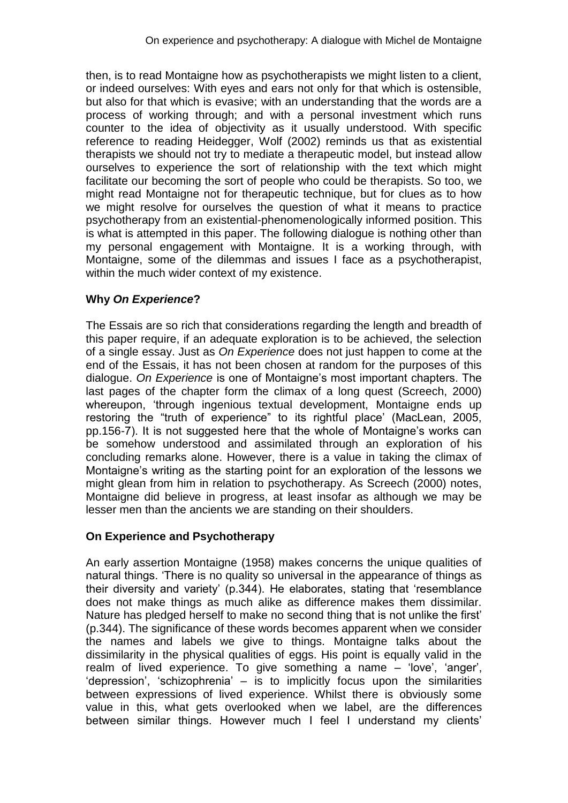then, is to read Montaigne how as psychotherapists we might listen to a client, or indeed ourselves: With eyes and ears not only for that which is ostensible, but also for that which is evasive; with an understanding that the words are a process of working through; and with a personal investment which runs counter to the idea of objectivity as it usually understood. With specific reference to reading Heidegger, Wolf (2002) reminds us that as existential therapists we should not try to mediate a therapeutic model, but instead allow ourselves to experience the sort of relationship with the text which might facilitate our becoming the sort of people who could be therapists. So too, we might read Montaigne not for therapeutic technique, but for clues as to how we might resolve for ourselves the question of what it means to practice psychotherapy from an existential-phenomenologically informed position. This is what is attempted in this paper. The following dialogue is nothing other than my personal engagement with Montaigne. It is a working through, with Montaigne, some of the dilemmas and issues I face as a psychotherapist, within the much wider context of my existence.

# **Why** *On Experience***?**

The Essais are so rich that considerations regarding the length and breadth of this paper require, if an adequate exploration is to be achieved, the selection of a single essay. Just as *On Experience* does not just happen to come at the end of the Essais, it has not been chosen at random for the purposes of this dialogue. *On Experience* is one of Montaigne's most important chapters. The last pages of the chapter form the climax of a long quest (Screech, 2000) whereupon, 'through ingenious textual development, Montaigne ends up restoring the "truth of experience" to its rightful place' (MacLean, 2005, pp.156-7). It is not suggested here that the whole of Montaigne's works can be somehow understood and assimilated through an exploration of his concluding remarks alone. However, there is a value in taking the climax of Montaigne's writing as the starting point for an exploration of the lessons we might glean from him in relation to psychotherapy. As Screech (2000) notes, Montaigne did believe in progress, at least insofar as although we may be lesser men than the ancients we are standing on their shoulders.

# **On Experience and Psychotherapy**

An early assertion Montaigne (1958) makes concerns the unique qualities of natural things. 'There is no quality so universal in the appearance of things as their diversity and variety' (p.344). He elaborates, stating that 'resemblance does not make things as much alike as difference makes them dissimilar. Nature has pledged herself to make no second thing that is not unlike the first' (p.344). The significance of these words becomes apparent when we consider the names and labels we give to things. Montaigne talks about the dissimilarity in the physical qualities of eggs. His point is equally valid in the realm of lived experience. To give something a name – 'love', 'anger', 'depression', 'schizophrenia' – is to implicitly focus upon the similarities between expressions of lived experience. Whilst there is obviously some value in this, what gets overlooked when we label, are the differences between similar things. However much I feel I understand my clients'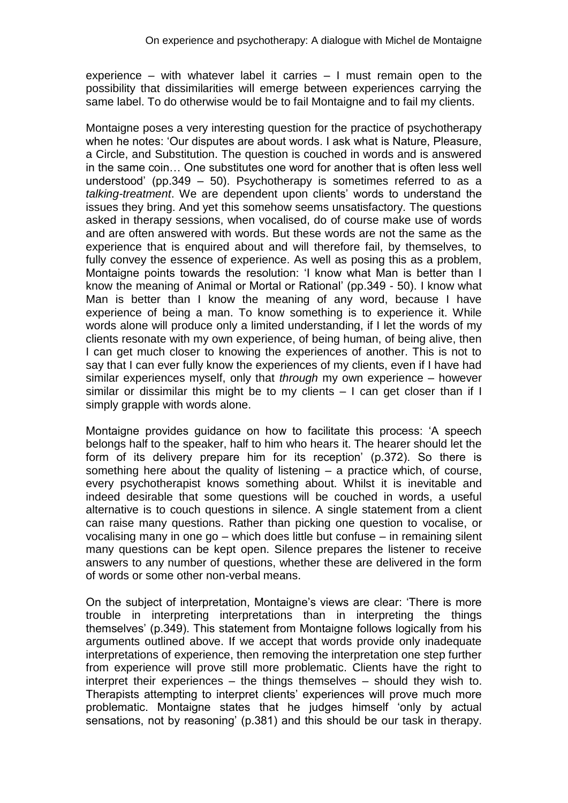experience – with whatever label it carries – I must remain open to the possibility that dissimilarities will emerge between experiences carrying the same label. To do otherwise would be to fail Montaigne and to fail my clients.

Montaigne poses a very interesting question for the practice of psychotherapy when he notes: 'Our disputes are about words. I ask what is Nature, Pleasure, a Circle, and Substitution. The question is couched in words and is answered in the same coin… One substitutes one word for another that is often less well understood' (pp.349 – 50). Psychotherapy is sometimes referred to as a *talking-treatment*. We are dependent upon clients' words to understand the issues they bring. And yet this somehow seems unsatisfactory. The questions asked in therapy sessions, when vocalised, do of course make use of words and are often answered with words. But these words are not the same as the experience that is enquired about and will therefore fail, by themselves, to fully convey the essence of experience. As well as posing this as a problem, Montaigne points towards the resolution: 'I know what Man is better than I know the meaning of Animal or Mortal or Rational' (pp.349 - 50). I know what Man is better than I know the meaning of any word, because I have experience of being a man. To know something is to experience it. While words alone will produce only a limited understanding, if I let the words of my clients resonate with my own experience, of being human, of being alive, then I can get much closer to knowing the experiences of another. This is not to say that I can ever fully know the experiences of my clients, even if I have had similar experiences myself, only that *through* my own experience – however similar or dissimilar this might be to my clients  $-1$  can get closer than if I simply grapple with words alone.

Montaigne provides guidance on how to facilitate this process: 'A speech belongs half to the speaker, half to him who hears it. The hearer should let the form of its delivery prepare him for its reception' (p.372). So there is something here about the quality of listening – a practice which, of course, every psychotherapist knows something about. Whilst it is inevitable and indeed desirable that some questions will be couched in words, a useful alternative is to couch questions in silence. A single statement from a client can raise many questions. Rather than picking one question to vocalise, or vocalising many in one go – which does little but confuse – in remaining silent many questions can be kept open. Silence prepares the listener to receive answers to any number of questions, whether these are delivered in the form of words or some other non-verbal means.

On the subject of interpretation, Montaigne's views are clear: 'There is more trouble in interpreting interpretations than in interpreting the things themselves' (p.349). This statement from Montaigne follows logically from his arguments outlined above. If we accept that words provide only inadequate interpretations of experience, then removing the interpretation one step further from experience will prove still more problematic. Clients have the right to interpret their experiences – the things themselves – should they wish to. Therapists attempting to interpret clients' experiences will prove much more problematic. Montaigne states that he judges himself 'only by actual sensations, not by reasoning' (p.381) and this should be our task in therapy.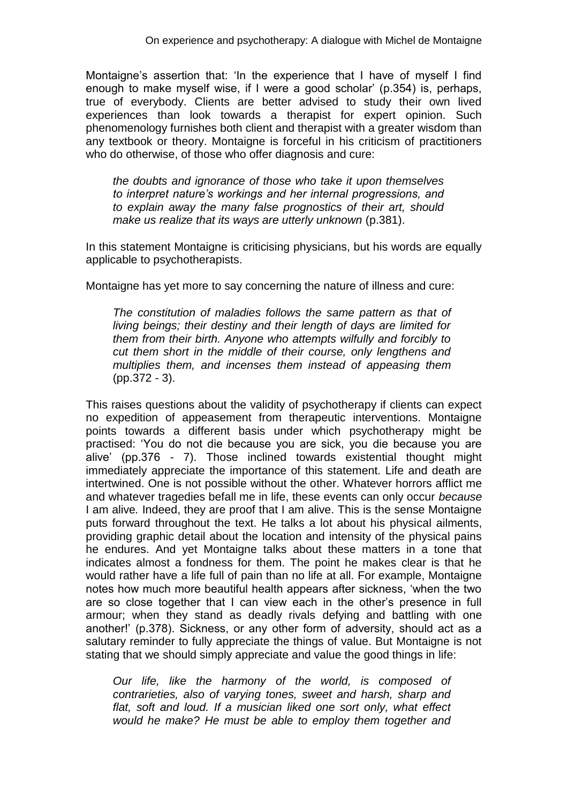Montaigne's assertion that: 'In the experience that I have of myself I find enough to make myself wise, if I were a good scholar' (p.354) is, perhaps, true of everybody. Clients are better advised to study their own lived experiences than look towards a therapist for expert opinion. Such phenomenology furnishes both client and therapist with a greater wisdom than any textbook or theory. Montaigne is forceful in his criticism of practitioners who do otherwise, of those who offer diagnosis and cure:

*the doubts and ignorance of those who take it upon themselves to interpret nature's workings and her internal progressions, and to explain away the many false prognostics of their art, should make us realize that its ways are utterly unknown* (p.381).

In this statement Montaigne is criticising physicians, but his words are equally applicable to psychotherapists.

Montaigne has yet more to say concerning the nature of illness and cure:

*The constitution of maladies follows the same pattern as that of living beings; their destiny and their length of days are limited for them from their birth. Anyone who attempts wilfully and forcibly to cut them short in the middle of their course, only lengthens and multiplies them, and incenses them instead of appeasing them* (pp.372 - 3).

This raises questions about the validity of psychotherapy if clients can expect no expedition of appeasement from therapeutic interventions. Montaigne points towards a different basis under which psychotherapy might be practised: 'You do not die because you are sick, you die because you are alive' (pp.376 - 7). Those inclined towards existential thought might immediately appreciate the importance of this statement. Life and death are intertwined. One is not possible without the other. Whatever horrors afflict me and whatever tragedies befall me in life, these events can only occur *because* I am alive*.* Indeed, they are proof that I am alive. This is the sense Montaigne puts forward throughout the text. He talks a lot about his physical ailments, providing graphic detail about the location and intensity of the physical pains he endures. And yet Montaigne talks about these matters in a tone that indicates almost a fondness for them. The point he makes clear is that he would rather have a life full of pain than no life at all. For example, Montaigne notes how much more beautiful health appears after sickness, 'when the two are so close together that I can view each in the other's presence in full armour; when they stand as deadly rivals defying and battling with one another!' (p.378). Sickness, or any other form of adversity, should act as a salutary reminder to fully appreciate the things of value. But Montaigne is not stating that we should simply appreciate and value the good things in life:

*Our life, like the harmony of the world, is composed of contrarieties, also of varying tones, sweet and harsh, sharp and flat, soft and loud. If a musician liked one sort only, what effect would he make? He must be able to employ them together and*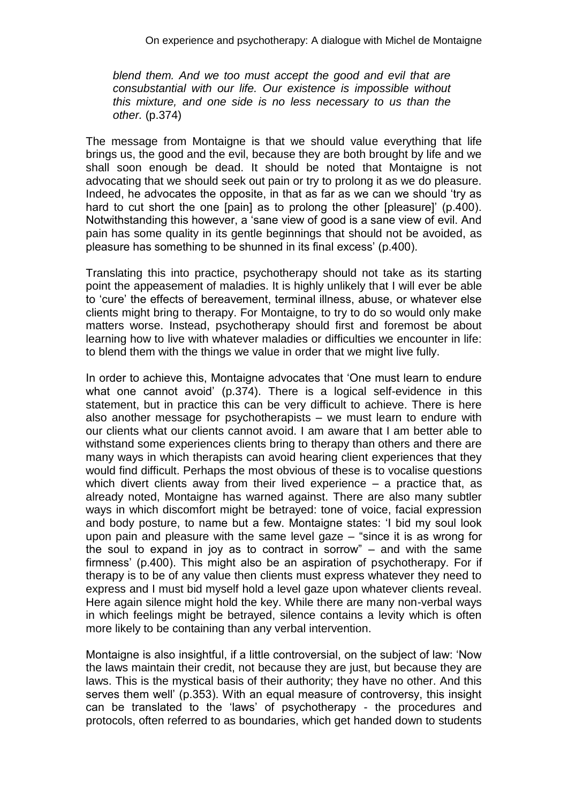*blend them. And we too must accept the good and evil that are consubstantial with our life. Our existence is impossible without this mixture, and one side is no less necessary to us than the other.* (p.374)

The message from Montaigne is that we should value everything that life brings us, the good and the evil, because they are both brought by life and we shall soon enough be dead. It should be noted that Montaigne is not advocating that we should seek out pain or try to prolong it as we do pleasure. Indeed, he advocates the opposite, in that as far as we can we should 'try as hard to cut short the one [pain] as to prolong the other [pleasure]' (p.400). Notwithstanding this however, a 'sane view of good is a sane view of evil. And pain has some quality in its gentle beginnings that should not be avoided, as pleasure has something to be shunned in its final excess' (p.400).

Translating this into practice, psychotherapy should not take as its starting point the appeasement of maladies. It is highly unlikely that I will ever be able to 'cure' the effects of bereavement, terminal illness, abuse, or whatever else clients might bring to therapy. For Montaigne, to try to do so would only make matters worse. Instead, psychotherapy should first and foremost be about learning how to live with whatever maladies or difficulties we encounter in life: to blend them with the things we value in order that we might live fully.

In order to achieve this, Montaigne advocates that 'One must learn to endure what one cannot avoid' (p.374). There is a logical self-evidence in this statement, but in practice this can be very difficult to achieve. There is here also another message for psychotherapists – we must learn to endure with our clients what our clients cannot avoid. I am aware that I am better able to withstand some experiences clients bring to therapy than others and there are many ways in which therapists can avoid hearing client experiences that they would find difficult. Perhaps the most obvious of these is to vocalise questions which divert clients away from their lived experience – a practice that, as already noted, Montaigne has warned against. There are also many subtler ways in which discomfort might be betrayed: tone of voice, facial expression and body posture, to name but a few. Montaigne states: 'I bid my soul look upon pain and pleasure with the same level gaze – "since it is as wrong for the soul to expand in joy as to contract in sorrow" – and with the same firmness' (p.400). This might also be an aspiration of psychotherapy. For if therapy is to be of any value then clients must express whatever they need to express and I must bid myself hold a level gaze upon whatever clients reveal. Here again silence might hold the key. While there are many non-verbal ways in which feelings might be betrayed, silence contains a levity which is often more likely to be containing than any verbal intervention.

Montaigne is also insightful, if a little controversial, on the subject of law: 'Now the laws maintain their credit, not because they are just, but because they are laws. This is the mystical basis of their authority; they have no other. And this serves them well' (p.353). With an equal measure of controversy, this insight can be translated to the 'laws' of psychotherapy - the procedures and protocols, often referred to as boundaries, which get handed down to students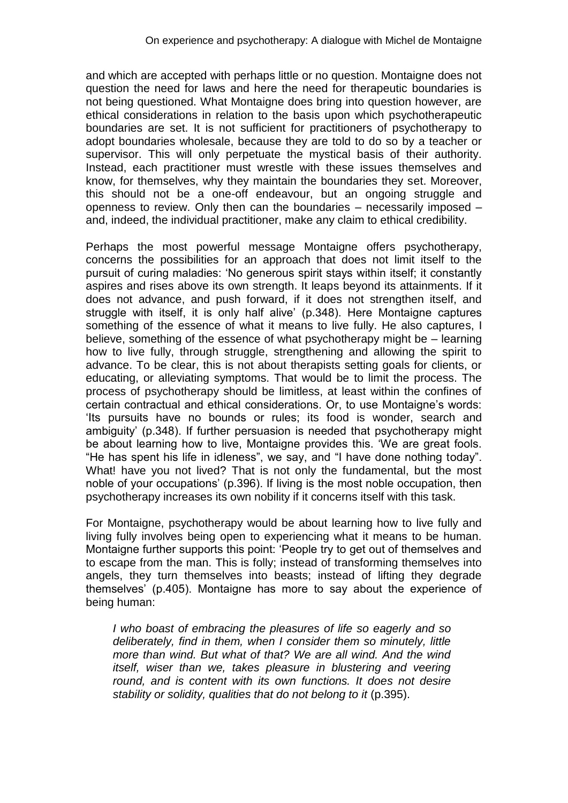and which are accepted with perhaps little or no question. Montaigne does not question the need for laws and here the need for therapeutic boundaries is not being questioned. What Montaigne does bring into question however, are ethical considerations in relation to the basis upon which psychotherapeutic boundaries are set. It is not sufficient for practitioners of psychotherapy to adopt boundaries wholesale, because they are told to do so by a teacher or supervisor. This will only perpetuate the mystical basis of their authority. Instead, each practitioner must wrestle with these issues themselves and know, for themselves, why they maintain the boundaries they set. Moreover, this should not be a one-off endeavour, but an ongoing struggle and openness to review. Only then can the boundaries – necessarily imposed – and, indeed, the individual practitioner, make any claim to ethical credibility.

Perhaps the most powerful message Montaigne offers psychotherapy, concerns the possibilities for an approach that does not limit itself to the pursuit of curing maladies: 'No generous spirit stays within itself; it constantly aspires and rises above its own strength. It leaps beyond its attainments. If it does not advance, and push forward, if it does not strengthen itself, and struggle with itself, it is only half alive' (p.348). Here Montaigne captures something of the essence of what it means to live fully. He also captures, I believe, something of the essence of what psychotherapy might be – learning how to live fully, through struggle, strengthening and allowing the spirit to advance. To be clear, this is not about therapists setting goals for clients, or educating, or alleviating symptoms. That would be to limit the process. The process of psychotherapy should be limitless, at least within the confines of certain contractual and ethical considerations. Or, to use Montaigne's words: 'Its pursuits have no bounds or rules; its food is wonder, search and ambiguity' (p.348). If further persuasion is needed that psychotherapy might be about learning how to live, Montaigne provides this. 'We are great fools. "He has spent his life in idleness", we say, and "I have done nothing today". What! have you not lived? That is not only the fundamental, but the most noble of your occupations' (p.396). If living is the most noble occupation, then psychotherapy increases its own nobility if it concerns itself with this task.

For Montaigne, psychotherapy would be about learning how to live fully and living fully involves being open to experiencing what it means to be human. Montaigne further supports this point: 'People try to get out of themselves and to escape from the man. This is folly; instead of transforming themselves into angels, they turn themselves into beasts; instead of lifting they degrade themselves' (p.405). Montaigne has more to say about the experience of being human:

*I who boast of embracing the pleasures of life so eagerly and so deliberately, find in them, when I consider them so minutely, little more than wind. But what of that? We are all wind. And the wind itself, wiser than we, takes pleasure in blustering and veering*  round, and is content with its own functions. It does not desire *stability or solidity, qualities that do not belong to it* (p.395).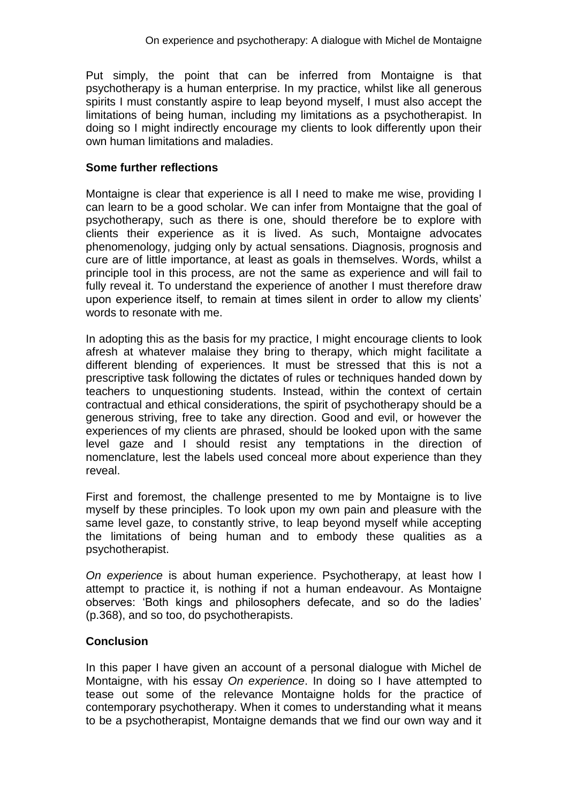Put simply, the point that can be inferred from Montaigne is that psychotherapy is a human enterprise. In my practice, whilst like all generous spirits I must constantly aspire to leap beyond myself, I must also accept the limitations of being human, including my limitations as a psychotherapist. In doing so I might indirectly encourage my clients to look differently upon their own human limitations and maladies.

## **Some further reflections**

Montaigne is clear that experience is all I need to make me wise, providing I can learn to be a good scholar. We can infer from Montaigne that the goal of psychotherapy, such as there is one, should therefore be to explore with clients their experience as it is lived. As such, Montaigne advocates phenomenology, judging only by actual sensations. Diagnosis, prognosis and cure are of little importance, at least as goals in themselves. Words, whilst a principle tool in this process, are not the same as experience and will fail to fully reveal it. To understand the experience of another I must therefore draw upon experience itself, to remain at times silent in order to allow my clients' words to resonate with me.

In adopting this as the basis for my practice, I might encourage clients to look afresh at whatever malaise they bring to therapy, which might facilitate a different blending of experiences. It must be stressed that this is not a prescriptive task following the dictates of rules or techniques handed down by teachers to unquestioning students. Instead, within the context of certain contractual and ethical considerations, the spirit of psychotherapy should be a generous striving, free to take any direction. Good and evil, or however the experiences of my clients are phrased, should be looked upon with the same level gaze and I should resist any temptations in the direction of nomenclature, lest the labels used conceal more about experience than they reveal.

First and foremost, the challenge presented to me by Montaigne is to live myself by these principles. To look upon my own pain and pleasure with the same level gaze, to constantly strive, to leap beyond myself while accepting the limitations of being human and to embody these qualities as a psychotherapist.

*On experience* is about human experience. Psychotherapy, at least how I attempt to practice it, is nothing if not a human endeavour. As Montaigne observes: 'Both kings and philosophers defecate, and so do the ladies' (p.368), and so too, do psychotherapists.

# **Conclusion**

In this paper I have given an account of a personal dialogue with Michel de Montaigne, with his essay *On experience*. In doing so I have attempted to tease out some of the relevance Montaigne holds for the practice of contemporary psychotherapy. When it comes to understanding what it means to be a psychotherapist, Montaigne demands that we find our own way and it